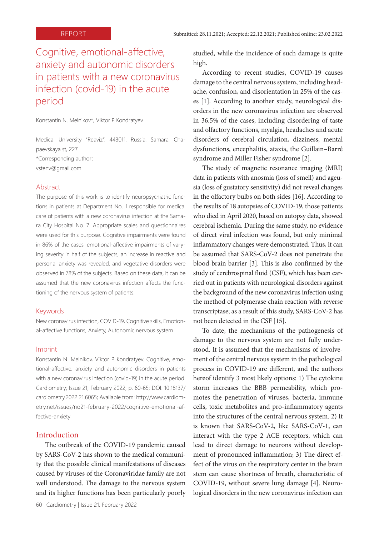# Cognitive, emotional-affective, anxiety and autonomic disorders in patients with a new coronavirus infection (covid-19) in the acute period

Konstantin N. Melnikov\*, Viktor P. Kondratyev

Medical University "Reaviz", 443011, Russia, Samara, Chapaevskaya st, 227 \*Corresponding author: vstenv@gmail.com

#### Abstract

The purpose of this work is to identify neuropsychiatric functions in patients at Department No. 1 responsible for medical care of patients with a new coronavirus infection at the Samara City Hospital No. 7. Appropriate scales and questionnaires were used for this purpose. Cognitive impairments were found in 86% of the cases, emotional-affective impairments of varying severity in half of the subjects, an increase in reactive and personal anxiety was revealed, and vegetative disorders were observed in 78% of the subjects. Based on these data, it can be assumed that the new coronavirus infection affects the functioning of the nervous system of patients.

#### Keywords

New coronavirus infection, COVID-19, Cognitive skills, Emotional-affective functions, Anxiety, Autonomic nervous system

#### Imprint

Konstantin N. Melnikov, Viktor P. Kondratyev. Cognitive, emotional-affective, anxiety and autonomic disorders in patients with a new coronavirus infection (covid-19) in the acute period. Cardiometry; Issue 21; February 2022; p. 60-65; DOI: 10.18137/ cardiometry.2022.21.6065; Available from: http://www.cardiometry.net/issues/no21-february-2022/cognitive-emotional-affective-anxiety

# Introduction

The outbreak of the COVID-19 pandemic caused by SARS-CoV-2 has shown to the medical community that the possible clinical manifestations of diseases caused by viruses of the Coronaviridae family are not well understood. The damage to the nervous system and its higher functions has been particularly poorly studied, while the incidence of such damage is quite high.

According to recent studies, COVID-19 causes damage to the central nervous system, including headache, confusion, and disorientation in 25% of the cases [1]. According to another study, neurological disorders in the new coronavirus infection are observed in 36.5% of the cases, including disordering of taste and olfactory functions, myalgia, headaches and acute disorders of cerebral circulation, dizziness, mental dysfunctions, encephalitis, ataxia, the Guillain–Barré syndrome and Miller Fisher syndrome [2].

The study of magnetic resonance imaging (MRI) data in patients with anosmia (loss of smell) and ageusia (loss of gustatory sensitivity) did not reveal changes in the olfactory bulbs on both sides [16]. According to the results of 18 autopsies of COVID-19, those patients who died in April 2020, based on autopsy data, showed cerebral ischemia. During the same study, no evidence of direct viral infection was found, but only minimal inflammatory changes were demonstrated. Thus, it can be assumed that SARS-CoV-2 does not penetrate the blood-brain barrier [3]. This is also confirmed by the study of cerebrospinal fluid (CSF), which has been carried out in patients with neurological disorders against the background of the new coronavirus infection using the method of polymerase chain reaction with reverse transcriptase; as a result of this study, SARS-CoV-2 has not been detected in the CSF [15].

To date, the mechanisms of the pathogenesis of damage to the nervous system are not fully understood. It is assumed that the mechanisms of involvement of the central nervous system in the pathological process in COVID-19 are different, and the authors hereof identify 3 most likely options: 1) The cytokine storm increases the BBB permeability, which promotes the penetration of viruses, bacteria, immune cells, toxic metabolites and pro-inflammatory agents into the structures of the central nervous system. 2) It is known that SARS-CoV-2, like SARS-CoV-1, can interact with the type 2 ACE receptors, which can lead to direct damage to neurons without development of pronounced inflammation; 3) The direct effect of the virus on the respiratory center in the brain stem can cause shortness of breath, characteristic of COVID-19, without severe lung damage [4]. Neurological disorders in the new coronavirus infection can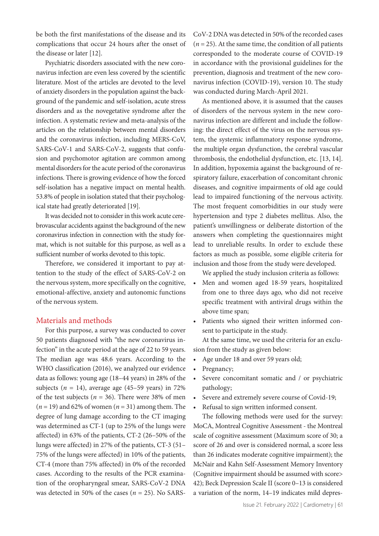be both the first manifestations of the disease and its complications that occur 24 hours after the onset of the disease or later [12].

Psychiatric disorders associated with the new coronavirus infection are even less covered by the scientific literature. Most of the articles are devoted to the level of anxiety disorders in the population against the background of the pandemic and self-isolation, acute stress disorders and as the novegetative syndrome after the infection. A systematic review and meta-analysis of the articles on the relationship between mental disorders and the coronavirus infection, including MERS-CoV, SARS-CoV-1 and SARS-CoV-2, suggests that confusion and psychomotor agitation are common among mental disorders for the acute period of the coronavirus infections. There is growing evidence of how the forced self-isolation has a negative impact on mental health. 53.8% of people in isolation stated that their psychological state had greatly deteriorated [19].

It was decided not to consider in this work acute cerebrovascular accidents against the background of the new coronavirus infection in connection with the study format, which is not suitable for this purpose, as well as a sufficient number of works devoted to this topic.

Therefore, we considered it important to pay attention to the study of the effect of SARS-CoV-2 on the nervous system, more specifically on the cognitive, emotional-affective, anxiety and autonomic functions of the nervous system.

# Materials and methods

For this purpose, a survey was conducted to cover 50 patients diagnosed with "the new coronavirus infection" in the acute period at the age of 22 to 59 years. The median age was 48.6 years. According to the WHO classification (2016), we analyzed our evidence data as follows: young age (18–44 years) in 28% of the subjects  $(n = 14)$ , average age  $(45-59 \text{ years})$  in 72% of the test subjects ( $n = 36$ ). There were 38% of men  $(n = 19)$  and 62% of women  $(n = 31)$  among them. The degree of lung damage according to the CT imaging was determined as CT-1 (up to 25% of the lungs were affected) in 63% of the patients, CT-2 (26–50% of the lungs were affected) in 27% of the patients, CT-3 (51– 75% of the lungs were affected) in 10% of the patients, CT-4 (more than 75% affected) in 0% of the recorded cases. According to the results of the PCR examination of the oropharyngeal smear, SARS-CoV-2 DNA was detected in 50% of the cases (*n* = 25). No SARS-

CoV-2 DNA was detected in 50% of the recorded cases  $(n = 25)$ . At the same time, the condition of all patients corresponded to the moderate course of COVID-19 in accordance with the provisional guidelines for the prevention, diagnosis and treatment of the new coronavirus infection (COVID-19), version 10. The study was conducted during March-April 2021.

As mentioned above, it is assumed that the causes of disorders of the nervous system in the new coronavirus infection are different and include the following: the direct effect of the virus on the nervous system, the systemic inflammatory response syndrome, the multiple organ dysfunction, the cerebral vascular thrombosis, the endothelial dysfunction, etc. [13, 14]. In addition, hypoxemia against the background of respiratory failure, exacerbation of concomitant chronic diseases, and cognitive impairments of old age could lead to impaired functioning of the nervous activity. The most frequent comorbidities in our study were hypertension and type 2 diabetes mellitus. Also, the patient's unwillingness or deliberate distortion of the answers when completing the questionnaires might lead to unreliable results. In order to exclude these factors as much as possible, some eligible criteria for inclusion and those from the study were developed.

We applied the study inclusion criteria as follows:

- Men and women aged 18-59 years, hospitalized from one to three days ago, who did not receive specific treatment with antiviral drugs within the above time span;
- Patients who signed their written informed consent to participate in the study.

At the same time, we used the criteria for an exclusion from the study as given below:

- Age under 18 and over 59 years old;
- Pregnancy;
- Severe concomitant somatic and / or psychiatric pathology;
- Severe and extremely severe course of Covid-19;
- Refusal to sign written informed consent.

The following methods were used for the survey: MoCA, Montreal Cognitive Assessment - the Montreal scale of cognitive assessment (Maximum score of 30; a score of 26 and over is considered normal, a score less than 26 indicates moderate cognitive impairment); the McNair and Kahn Self-Assessment Memory Inventory (Cognitive impairment should be assumed with score> 42); Beck Depression Scale II (score 0–13 is considered a variation of the norm, 14–19 indicates mild depres-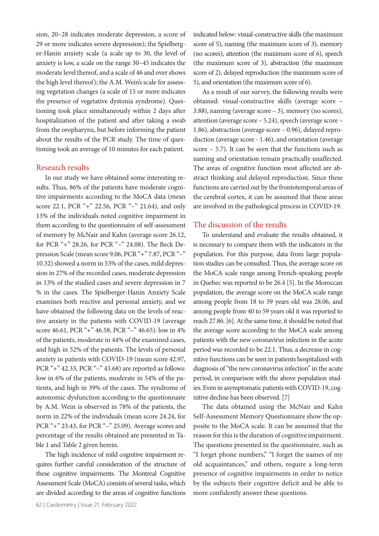sion, 20–28 indicates moderate depression, a score of 29 or more indicates severe depression); the Spielberger-Hanin anxiety scale (a scale up to 30, the level of anxiety is low, a scale on the range 30–45 indicates the moderate level thereof, and a scale of 46 and over shows the high level thereof); the A.M. Wein's scale for assessing vegetation changes (a scale of 15 or more indicates the presence of vegetative dystonia syndrome). Questioning took place simultaneously within 2 days after hospitalization of the patient and after taking a swab from the oropharynx, but before informing the patient about the results of the PCR study. The time of questioning took an average of 10 minutes for each patient.

#### Research results

In our study we have obtained some interesting results. Thus, 86% of the patients have moderate cognitive impairments according to the MoCA data (mean score 22.1, PCR "+" 22.56, PCR "–" 21.64), and only 13% of the individuals noted cognitive impairment in them according to the questionnaire of self-assessment of memory by McNair and Kahn (average score 26.12, for PCR "+" 28.26, for PCR "–" 24.08). The Beck Depression Scale (mean score 9.06, PCR "+" 7.87, PCR "–" 10.32) showed a norm in 53% of the cases, mild depression in 27% of the recorded cases, moderate depression in 13% of the studied cases and severe depression in 7 % in the cases. The Spielberger-Hanin Anxiety Scale examines both reactive and personal anxiety, and we have obtained the following data on the levels of reactive anxiety in the patients with COVID-19 (average score 46.61, PCR "+" 46.58, PCR "–" 46.65): low in 4% of the patients, moderate in 44% of the examined cases, and high in 52% of the patients. The levels of personal anxiety in patients with COVID-19 (mean score 42.97, PCR "+" 42.33, PCR "–" 43.68) are reported as follows: low in 6% of the patients, moderate in 54% of the patients, and high in 39% of the cases. The syndrome of autonomic dysfunction according to the questionnaire by A.M. Wein is observed in 78% of the patients, the norm in 22% of the individuals (mean score 24.24, for PCR "+" 23.43, for PCR "–" 25.09). Average scores and percentage of the results obtained are presented in Table 1 and Table 2 given herein.

The high incidence of mild cognitive impairment requires further careful consideration of the structure of these cognitive impairments. The Montreal Cognitive Assessment Scale (MoCA) consists of several tasks, which are divided according to the areas of cognitive functions

indicated below: visual-constructive skills (the maximum score of 5), naming (the maximum score of 3), memory (no scores), attention (the maximum score of 6), speech (the maximum score of 3), abstraction (the maximum score of 2), delayed reproduction (the maximum score of 5), and orientation (the maximum score of 6).

As a result of our survey, the following results were obtained: visual-constructive skills (average score – 3.88), naming (average score – 3), memory (no scores), attention (average score – 5.24), speech (average score – 1.86), abstraction (average score – 0.96), delayed reproduction (average score - 1.46), and orientation (average score – 5.7). It can be seen that the functions such as naming and orientation remain practically unaffected. The areas of cognitive function most affected are abstract thinking and delayed reproduction. Since these functions are carried out by the frontotemporal areas of the cerebral cortex, it can be assumed that these areas are involved in the pathological process in COVID-19.

#### The discussion of the results

To understand and evaluate the results obtained, it is necessary to compare them with the indicators in the population. For this purpose, data from large population studies can be consulted. Thus, the average score on the MoCA scale range among French-speaking people in Quebec was reported to be 26.4 [5]. In the Moroccan population, the average score on the MoCA scale range among people from 18 to 39 years old was 28.06, and among people from 40 to 59 years old it was reported to reach 27.86. [6]. At the same time, it should be noted that the average score according to the MoCA scale among patients with the new coronavirus infection in the acute period was recorded to be 22.1. Thus, a decrease in cognitive functions can be seen in patients hospitalized with diagnosis of "the new coronavirus infection" in the acute period, in comparison with the above population studies. Even in asymptomatic patients with COVID-19, cognitive decline has been observed. [7]

The data obtained using the McNair and Kahn Self-Assessment Memory Questionnaire show the opposite to the MoCA scale. It can be assumed that the reason for this is the duration of cognitive impairment. The questions presented in the questionnaire, such as "I forget phone numbers," "I forget the names of my old acquaintances," and others, require a long-term presence of cognitive impairments in order to notice by the subjects their cognitive deficit and be able to more confidently answer these questions.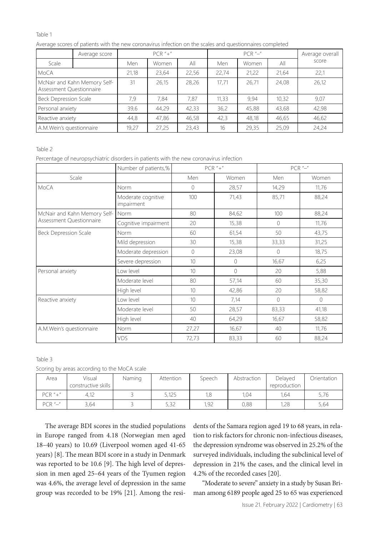#### Table 1

Average scores of patients with the new coronavirus infection on the scales and questionnaires completed

|                                                          | Average score |       | $PCR$ "+" |       |       | $PCR$ "-" |       | Average overall |  |
|----------------------------------------------------------|---------------|-------|-----------|-------|-------|-----------|-------|-----------------|--|
| Scale                                                    |               | Men   | Women     | All   | Men   | Women     | All   | score           |  |
| <b>MoCA</b>                                              |               | 21,18 | 23,64     | 22,56 | 22,74 | 21,22     | 21,64 | 22,1            |  |
| McNair and Kahn Memory Self-<br>Assessment Questionnaire |               | 31    | 26,15     | 28,26 | 17.71 | 26.71     | 24,08 | 26,12           |  |
| <b>Beck Depression Scale</b>                             |               | 7,9   | 7,84      | 7,87  | 11,33 | 9.94      | 10.32 | 9,07            |  |
| Personal anxiety                                         |               | 39,6  | 44,29     | 42,33 | 36,2  | 45,88     | 43,68 | 42,98           |  |
| Reactive anxiety                                         |               | 44,8  | 47,86     | 46,58 | 42,3  | 48,18     | 46,65 | 46,62           |  |
| A.M.Wein's questionnaire                                 |               | 19,27 | 27,25     | 23,43 | 16    | 29,35     | 25,09 | 24,24           |  |

Table 2

Percentage of neuropsychiatric disorders in patients with the new coronavirus infection

|                              | Number of patients,%             |                 | $PCR$ "+"      | $PCR$ "-" |          |  |
|------------------------------|----------------------------------|-----------------|----------------|-----------|----------|--|
| Scale                        |                                  | Men             | Women          | Men       | Women    |  |
| MoCA                         | Norm                             | $\bigcirc$      | 28,57          | 14,29     | 11,76    |  |
|                              | Moderate cognitive<br>impairment | 100             | 71,43          | 85,71     | 88,24    |  |
| McNair and Kahn Memory Self- | Norm                             | 80              | 84,62          | 100       | 88,24    |  |
| Assessment Questionnaire     | Cognitive impairment             | 20              | 15,38          | 0         | 11,76    |  |
| <b>Beck Depression Scale</b> | Norm                             | 60              | 61,54          | 50        | 43,75    |  |
|                              | Mild depression                  | 30              | 15,38          | 33,33     | 31,25    |  |
|                              | Moderate depression              | $\circ$         | 23,08          | $\Omega$  | 18,75    |  |
|                              | Severe depression                | 10 <sup>°</sup> | $\overline{0}$ | 16,67     | 6,25     |  |
| Personal anxiety             | Low level                        | 10 <sup>1</sup> | $\Omega$       | 20        | 5,88     |  |
|                              | Moderate level                   | 80              | 57,14          | 60        | 35,30    |  |
|                              | High level                       | 10              | 42,86          | 20        | 58,82    |  |
| Reactive anxiety             | Low level                        | 10 <sup>1</sup> | 7,14           | $\Omega$  | $\Omega$ |  |
|                              | Moderate level                   | 50              | 28,57          | 83,33     | 41,18    |  |
|                              | High level                       | 40              | 64,29          | 16,67     | 58,82    |  |
| A.M. Wein's questionnaire    | Norm                             | 27,27           | 16,67          | 40        | 11,76    |  |
|                              | VDS                              | 72,73           | 83,33          | 60        | 88,24    |  |

#### Table 3

|  |  |  |  | Scoring by areas according to the MoCA scale |  |  |  |  |
|--|--|--|--|----------------------------------------------|--|--|--|--|
|--|--|--|--|----------------------------------------------|--|--|--|--|

| Area          | Visual<br>constructive skills | Naming | Attention | Speech | Abstraction | Delayed<br>reproduction | Orientation |
|---------------|-------------------------------|--------|-----------|--------|-------------|-------------------------|-------------|
| $PCR$ "+"     | 4,12                          |        | 5,125     | 1,8    | 1.04        | 1.64                    | 5,76        |
| $PCR$ " $-$ " | 3,64                          |        | 5,32      | 1,92   | 0,88        | 1,28                    | 5,64        |

The average BDI scores in the studied populations in Europe ranged from 4.18 (Norwegian men aged 18–40 years) to 10.69 (Liverpool women aged 41-65 years) [8]. The mean BDI score in a study in Denmark was reported to be 10.6 [9]. The high level of depression in men aged 25–64 years of the Tyumen region was 4.6%, the average level of depression in the same group was recorded to be 19% [21]. Among the residents of the Samara region aged 19 to 68 years, in relation to risk factors for chronic non-infectious diseases, the depression syndrome was observed in 25.2% of the surveyed individuals, including the subclinical level of depression in 21% the cases, and the clinical level in 4.2% of the recorded cases [20].

"Moderate to severe" anxiety in a study by Susan Briman among 6189 people aged 25 to 65 was experienced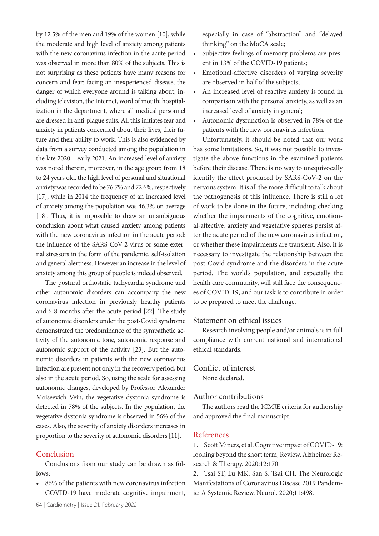by 12.5% of the men and 19% of the women [10], while the moderate and high level of anxiety among patients with the new coronavirus infection in the acute period was observed in more than 80% of the subjects. This is not surprising as these patients have many reasons for concern and fear: facing an inexperienced disease, the danger of which everyone around is talking about, including television, the Internet, word of mouth; hospitalization in the department, where all medical personnel are dressed in anti-plague suits. All this initiates fear and anxiety in patients concerned about their lives, their future and their ability to work. This is also evidenced by data from a survey conducted among the population in the late 2020 – early 2021. An increased level of anxiety was noted therein, moreover, in the age group from 18 to 24 years old, the high level of personal and situational anxiety was recorded to be 76.7% and 72.6%, respectively [17], while in 2014 the frequency of an increased level of anxiety among the population was 46.3% on average [18]. Thus, it is impossible to draw an unambiguous conclusion about what caused anxiety among patients with the new coronavirus infection in the acute period: the influence of the SARS-CoV-2 virus or some external stressors in the form of the pandemic, self-isolation and general alertness. However an increase in the level of anxiety among this group of people is indeed observed.

The postural orthostatic tachycardia syndrome and other autonomic disorders can accompany the new coronavirus infection in previously healthy patients and 6-8 months after the acute period [22]. The study of autonomic disorders under the post-Covid syndrome demonstrated the predominance of the sympathetic activity of the autonomic tone, autonomic response and autonomic support of the activity [23]. But the autonomic disorders in patients with the new coronavirus infection are present not only in the recovery period, but also in the acute period. So, using the scale for assessing autonomic changes, developed by Professor Alexander Moiseevich Vein, the vegetative dystonia syndrome is detected in 78% of the subjects. In the population, the vegetative dystonia syndrome is observed in 56% of the cases. Also, the severity of anxiety disorders increases in proportion to the severity of autonomic disorders [11].

# Conclusion

Conclusions from our study can be drawn as follows:

• 86% of the patients with new coronavirus infection COVID-19 have moderate cognitive impairment, especially in case of "abstraction" and "delayed thinking" on the MoCA scale;

- Subjective feelings of memory problems are present in 13% of the COVID-19 patients;
- Emotional-affective disorders of varying severity are observed in half of the subjects;
- An increased level of reactive anxiety is found in comparison with the personal anxiety, as well as an increased level of anxiety in general;
- Autonomic dysfunction is observed in 78% of the patients with the new coronavirus infection.

Unfortunately, it should be noted that our work has some limitations. So, it was not possible to investigate the above functions in the examined patients before their disease. There is no way to unequivocally identify the effect produced by SARS-CoV-2 on the nervous system. It is all the more difficult to talk about the pathogenesis of this influence. There is still a lot of work to be done in the future, including checking whether the impairments of the cognitive, emotional-affective, anxiety and vegetative spheres persist after the acute period of the new coronavirus infection, or whether these impairments are transient. Also, it is necessary to investigate the relationship between the post-Covid syndrome and the disorders in the acute period. The world's population, and especially the health care community, will still face the consequences of COVID-19, and our task is to contribute in order to be prepared to meet the challenge.

#### Statement on ethical issues

Research involving people and/or animals is in full compliance with current national and international ethical standards.

# Conflict of interest

None declared.

# Author contributions

The authors read the ICMJE criteria for authorship and approved the final manuscript.

#### References

1. Scott Miners, et al. Cognitive impact of COVID-19: looking beyond the short term, Review, Alzheimer Research & Therapy. 2020;12:170.

2. Tsai ST, Lu MK, San S, Tsai CH. The Neurologic Manifestations of Coronavirus Disease 2019 Pandemic: A Systemic Review. Neurol. 2020;11:498.